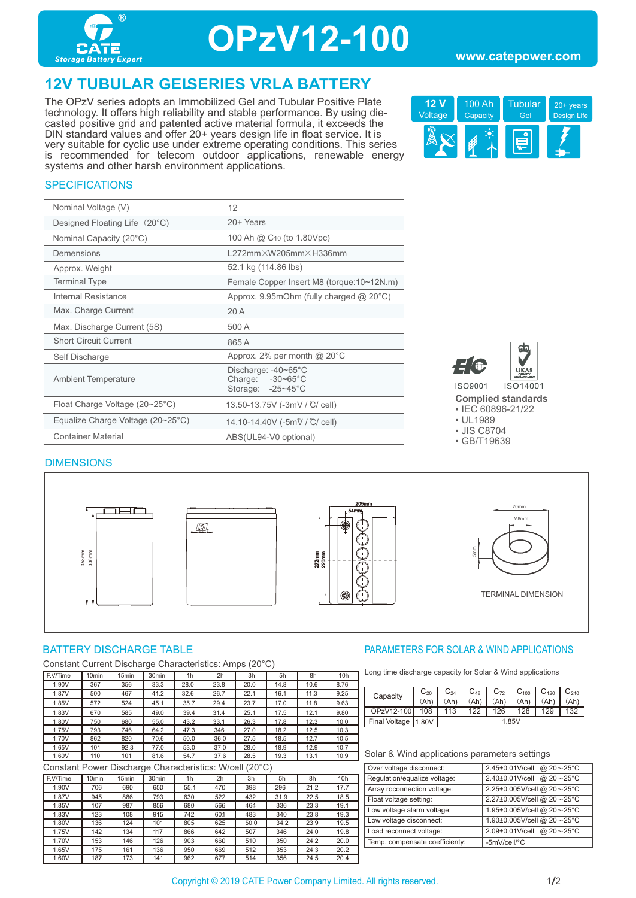

## **OPzV12-100**

#### **www.catepower.com**

### **12V TUBULAR GELSERIES VRLA BATTERY**

The OPzV series adopts an Immobilized Gel and Tubular Positive Plate technology. It offers high reliability and stable performance. By using diecasted positive grid and patented active material formula, it exceeds the DIN standard values and offer 20+ years design life in float service. It is very suitable for cyclic use under extreme operating conditions. This series is recommended for telecom outdoor applications, renewable energy systems and other harsh environment applications.



#### **SPECIFICATIONS**

| Nominal Voltage (V)                               | 12                                                                     |
|---------------------------------------------------|------------------------------------------------------------------------|
| Designed Floating Life (20°C)                     | 20+ Years                                                              |
| Nominal Capacity (20°C)                           | 100 Ah @ C <sub>10</sub> (to 1.80Vpc)                                  |
| Demensions                                        | $1272$ mm $\times$ W205mm $\times$ H336mm                              |
| Approx. Weight                                    | 52.1 kg (114.86 lbs)                                                   |
| <b>Terminal Type</b>                              | Female Copper Insert M8 (torque: 10~12N.m)                             |
| Internal Resistance                               | Approx. 9.95mOhm (fully charged $@$ 20 $°C$ )                          |
| Max. Charge Current                               | 20A                                                                    |
| Max. Discharge Current (5S)                       | 500 A                                                                  |
| <b>Short Circuit Current</b>                      | 865A                                                                   |
| Self Discharge                                    | Approx. 2% per month @ $20^{\circ}$ C                                  |
| <b>Ambient Temperature</b>                        | Discharge: -40~65°C<br>Charge: $-30-65^{\circ}$ C<br>Storage: -25~45°C |
| Float Charge Voltage (20~25°C)                    | 13.50-13.75V (-3mV / °C/ cell)                                         |
| Equalize Charge Voltage $(20~25~{\rm ^{\circ}C})$ | 14.10-14.40V (-5mV / C/ cell)                                          |
| <b>Container Material</b>                         | ABS(UL94-V0 optional)                                                  |



**Complied standards**  ▪ IEC 60896-21/22

- UL1989
- JIS C8704
- GB/T19639

#### DIMENSIONS









Constant Current Discharge Characteristics: Amps (20°C)

| F.V/Time | 10 <sub>min</sub> | 15 <sub>min</sub> | 30 <sub>min</sub> | 1 <sub>h</sub> | 2h   | 3h   | 5h   | 8h   | 10 <sub>h</sub> |
|----------|-------------------|-------------------|-------------------|----------------|------|------|------|------|-----------------|
| 1.90V    | 367               | 356               | 33.3              | 28.0           | 23.8 | 20.0 | 14.8 | 10.6 | 8.76            |
| 1.87V    | 500               | 467               | 41.2              | 32.6           | 26.7 | 22.1 | 16.1 | 11.3 | 9.25            |
| 1.85V    | 572               | 524               | 45.1              | 35.7           | 29.4 | 23.7 | 17.0 | 11.8 | 9.63            |
| 1.83V    | 670               | 585               | 49.0              | 39.4           | 31.4 | 25.1 | 17.5 | 12.1 | 9.80            |
| 1.80V    | 750               | 680               | 55.0              | 43.2           | 33.1 | 26.3 | 17.8 | 12.3 | 10.0            |
| 1.75V    | 793               | 746               | 64.2              | 47.3           | 346  | 27.0 | 18.2 | 12.5 | 10.3            |
| 1.70V    | 862               | 820               | 70.6              | 50.0           | 36.0 | 27.5 | 18.5 | 12.7 | 10.5            |
| 1.65V    | 101               | 92.3              | 77.0              | 53.0           | 37.0 | 28.0 | 18.9 | 12.9 | 10.7            |
| 1.60V    | 110               | 101               | 81.6              | 54.7           | 37.6 | 28.5 | 19.3 | 13.1 | 10.9            |

Constant Power Discharge Characteristics: W/cell (20°C)

| F.V/Time | 10 <sub>min</sub> | 15 <sub>min</sub> | 30 <sub>min</sub> | 1 <sub>h</sub> | 2 <sub>h</sub> | 3h   | 5h   | 8h   | 10 <sub>h</sub> |
|----------|-------------------|-------------------|-------------------|----------------|----------------|------|------|------|-----------------|
| 1.90V    | 706               | 690               | 650               | 55.1           | 470            | 398  | 296  | 21.2 | 17.7            |
| 1.87V    | 945               | 886               | 793               | 630            | 522            | 432  | 31.9 | 22.5 | 18.5            |
| 1.85V    | 107               | 987               | 856               | 680            | 566            | 464  | 336  | 23.3 | 19.1            |
| 1.83V    | 123               | 108               | 915               | 742            | 601            | 483  | 340  | 23.8 | 19.3            |
| 1.80V    | 136               | 124               | 101               | 805            | 625            | 50.0 | 34.2 | 23.9 | 19.5            |
| 1.75V    | 142               | 134               | 117               | 866            | 642            | 507  | 346  | 24.0 | 19.8            |
| 1.70V    | 153               | 146               | 126               | 903            | 660            | 510  | 350  | 24.2 | 20.0            |
| 1.65V    | 175               | 161               | 136               | 950            | 669            | 512  | 353  | 24.3 | 20.2            |
| 1.60V    | 187               | 173               | 141               | 962            | 677            | 514  | 356  | 24.5 | 20.4            |

#### BATTERY DISCHARGE TABLE **External of the Solution State of the PARAMETERS FOR SOLAR & WIND APPLICATIONS**

Long time discharge capacity for Solar & Wind applications

| Capacity        | $\mathrm{C_{20}}$ | $\mathbb{C}_{24}$ | $C_{48}$ | $C_{72}$ | $C_{100}$ | $C_{120}$ | $\mathsf{C}_{240}$ |
|-----------------|-------------------|-------------------|----------|----------|-----------|-----------|--------------------|
|                 | (Ah'              |                   | (Ah      | (Ah      | (Ah       | (Ah       | (Ah'               |
| OPzV12-100      | 108               | 113               | 122      | 126      | 128       | 129       |                    |
| Final Voltage ' | 11.80V            | 1.85V             |          |          |           |           |                    |

#### Solar & Wind applications parameters settings

| Over voltage disconnect:       | 2.45±0.01V/cell @ 20~25°C                |
|--------------------------------|------------------------------------------|
| Regulation/equalize voltage:   | @ $20 - 25$ °C<br>2.40±0.01V/cell        |
| Array roconnection voltage:    | 2.25±0.005V/cell @ 20~25°C               |
| Float voltage setting:         | 2.27±0.005V/cell @ 20~25°C               |
| Low voltage alarm voltage:     | 1.95±0.005V/cell @ 20~25°C               |
| Low voltage disconnect:        | 1.90±0.005V/cell @ 20~25°C               |
| Load reconnect voltage:        | 2.09±0.01V/cell @ $20 \sim 25^{\circ}$ C |
| Temp. compensate coefficienty: | -5mV/cell/°C                             |
|                                |                                          |